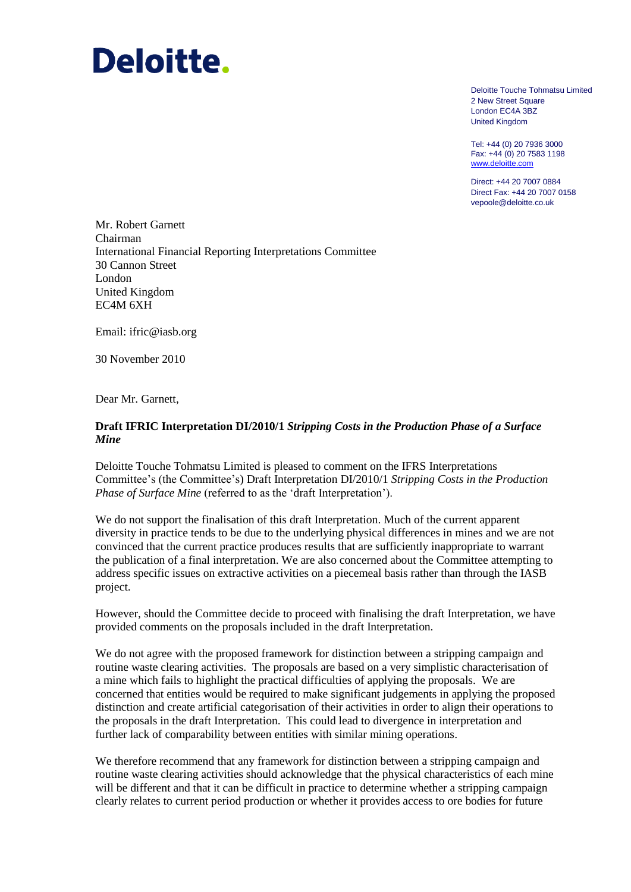# Deloitte.

Deloitte Touche Tohmatsu Limited 2 New Street Square London EC4A 3BZ United Kingdom

Tel: +44 (0) 20 7936 3000 Fax: +44 (0) 20 7583 1198 www.deloitte.com

Direct: +44 20 7007 0884 Direct Fax: +44 20 7007 0158 vepoole@deloitte.co.uk

Mr. Robert Garnett Chairman International Financial Reporting Interpretations Committee 30 Cannon Street London United Kingdom EC4M 6XH

Email: ifric@iasb.org

30 November 2010

Dear Mr. Garnett,

## **Draft IFRIC Interpretation DI/2010/1** *Stripping Costs in the Production Phase of a Surface Mine*

Deloitte Touche Tohmatsu Limited is pleased to comment on the IFRS Interpretations Committee"s (the Committee"s) Draft Interpretation DI/2010/1 *Stripping Costs in the Production Phase of Surface Mine* (referred to as the 'draft Interpretation').

We do not support the finalisation of this draft Interpretation. Much of the current apparent diversity in practice tends to be due to the underlying physical differences in mines and we are not convinced that the current practice produces results that are sufficiently inappropriate to warrant the publication of a final interpretation. We are also concerned about the Committee attempting to address specific issues on extractive activities on a piecemeal basis rather than through the IASB project.

However, should the Committee decide to proceed with finalising the draft Interpretation, we have provided comments on the proposals included in the draft Interpretation.

We do not agree with the proposed framework for distinction between a stripping campaign and routine waste clearing activities. The proposals are based on a very simplistic characterisation of a mine which fails to highlight the practical difficulties of applying the proposals. We are concerned that entities would be required to make significant judgements in applying the proposed distinction and create artificial categorisation of their activities in order to align their operations to the proposals in the draft Interpretation. This could lead to divergence in interpretation and further lack of comparability between entities with similar mining operations.

We therefore recommend that any framework for distinction between a stripping campaign and routine waste clearing activities should acknowledge that the physical characteristics of each mine will be different and that it can be difficult in practice to determine whether a stripping campaign clearly relates to current period production or whether it provides access to ore bodies for future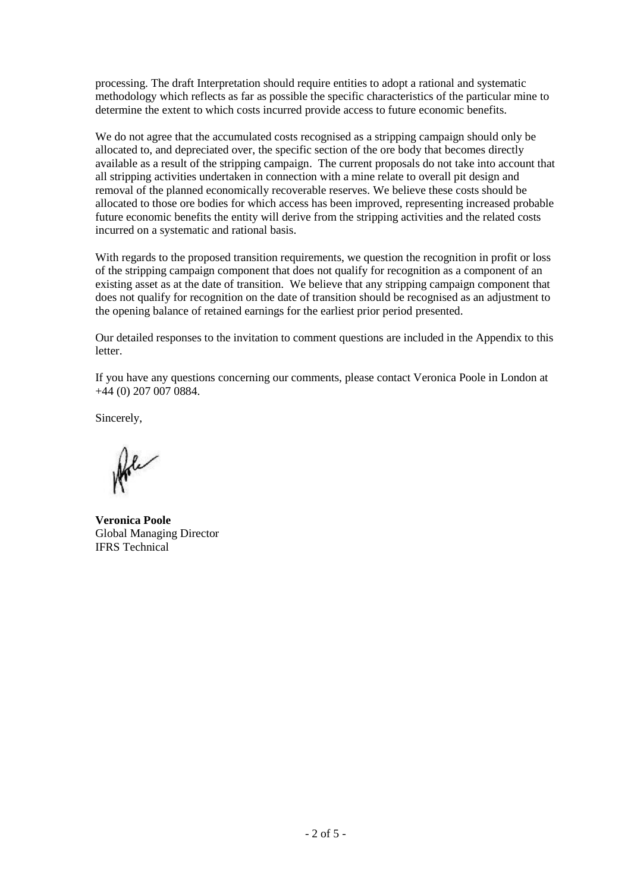processing. The draft Interpretation should require entities to adopt a rational and systematic methodology which reflects as far as possible the specific characteristics of the particular mine to determine the extent to which costs incurred provide access to future economic benefits.

We do not agree that the accumulated costs recognised as a stripping campaign should only be allocated to, and depreciated over, the specific section of the ore body that becomes directly available as a result of the stripping campaign. The current proposals do not take into account that all stripping activities undertaken in connection with a mine relate to overall pit design and removal of the planned economically recoverable reserves. We believe these costs should be allocated to those ore bodies for which access has been improved, representing increased probable future economic benefits the entity will derive from the stripping activities and the related costs incurred on a systematic and rational basis.

With regards to the proposed transition requirements, we question the recognition in profit or loss of the stripping campaign component that does not qualify for recognition as a component of an existing asset as at the date of transition. We believe that any stripping campaign component that does not qualify for recognition on the date of transition should be recognised as an adjustment to the opening balance of retained earnings for the earliest prior period presented.

Our detailed responses to the invitation to comment questions are included in the Appendix to this letter.

If you have any questions concerning our comments, please contact Veronica Poole in London at +44 (0) 207 007 0884.

Sincerely,

Arle

**Veronica Poole** Global Managing Director IFRS Technical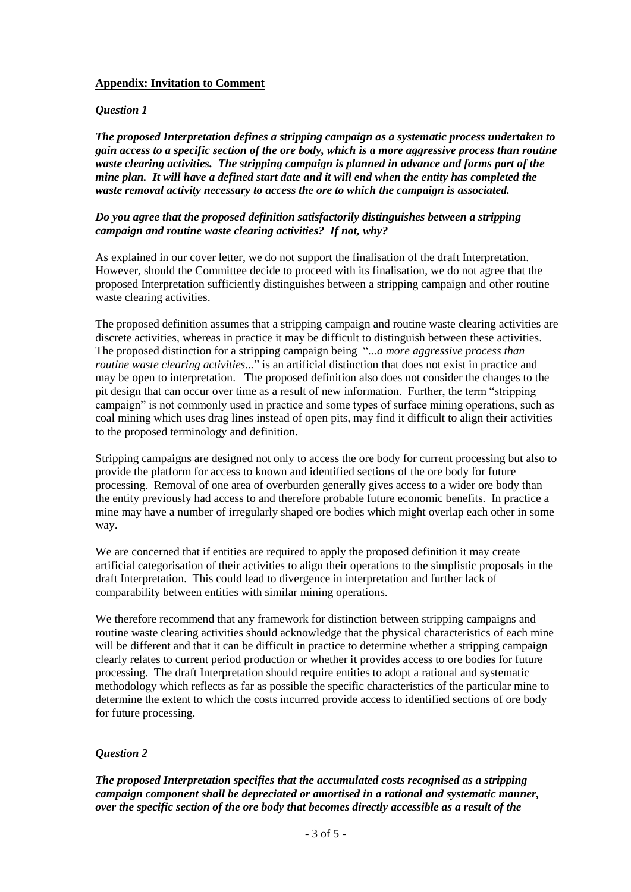## **Appendix: Invitation to Comment**

#### *Question 1*

*The proposed Interpretation defines a stripping campaign as a systematic process undertaken to gain access to a specific section of the ore body, which is a more aggressive process than routine waste clearing activities. The stripping campaign is planned in advance and forms part of the mine plan. It will have a defined start date and it will end when the entity has completed the waste removal activity necessary to access the ore to which the campaign is associated.*

#### *Do you agree that the proposed definition satisfactorily distinguishes between a stripping campaign and routine waste clearing activities? If not, why?*

As explained in our cover letter, we do not support the finalisation of the draft Interpretation. However, should the Committee decide to proceed with its finalisation, we do not agree that the proposed Interpretation sufficiently distinguishes between a stripping campaign and other routine waste clearing activities.

The proposed definition assumes that a stripping campaign and routine waste clearing activities are discrete activities, whereas in practice it may be difficult to distinguish between these activities. The proposed distinction for a stripping campaign being "*...a more aggressive process than routine waste clearing activities...*" is an artificial distinction that does not exist in practice and may be open to interpretation. The proposed definition also does not consider the changes to the pit design that can occur over time as a result of new information. Further, the term "stripping campaign" is not commonly used in practice and some types of surface mining operations, such as coal mining which uses drag lines instead of open pits, may find it difficult to align their activities to the proposed terminology and definition.

Stripping campaigns are designed not only to access the ore body for current processing but also to provide the platform for access to known and identified sections of the ore body for future processing. Removal of one area of overburden generally gives access to a wider ore body than the entity previously had access to and therefore probable future economic benefits. In practice a mine may have a number of irregularly shaped ore bodies which might overlap each other in some way.

We are concerned that if entities are required to apply the proposed definition it may create artificial categorisation of their activities to align their operations to the simplistic proposals in the draft Interpretation. This could lead to divergence in interpretation and further lack of comparability between entities with similar mining operations.

We therefore recommend that any framework for distinction between stripping campaigns and routine waste clearing activities should acknowledge that the physical characteristics of each mine will be different and that it can be difficult in practice to determine whether a stripping campaign clearly relates to current period production or whether it provides access to ore bodies for future processing. The draft Interpretation should require entities to adopt a rational and systematic methodology which reflects as far as possible the specific characteristics of the particular mine to determine the extent to which the costs incurred provide access to identified sections of ore body for future processing.

# *Question 2*

*The proposed Interpretation specifies that the accumulated costs recognised as a stripping campaign component shall be depreciated or amortised in a rational and systematic manner, over the specific section of the ore body that becomes directly accessible as a result of the*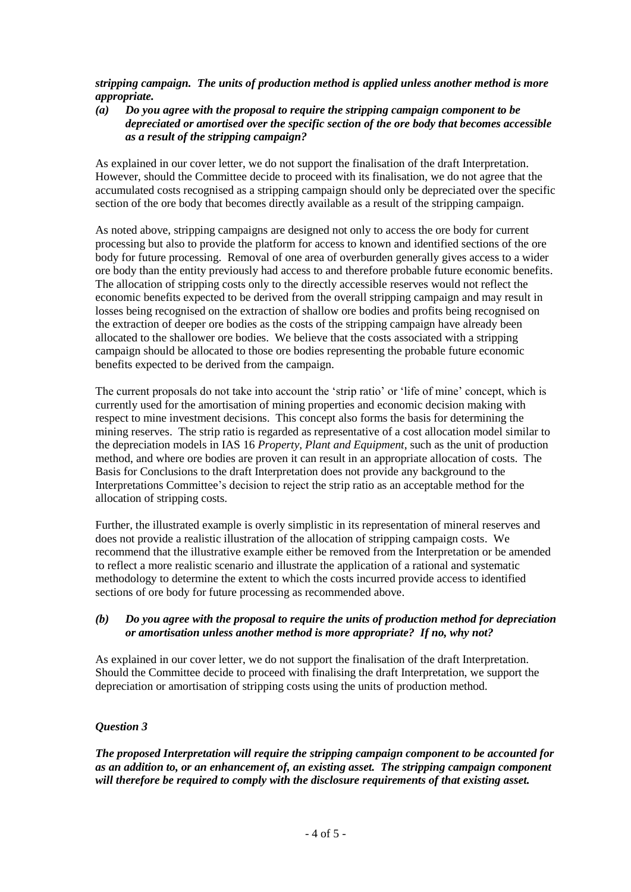*stripping campaign. The units of production method is applied unless another method is more appropriate.*

*(a) Do you agree with the proposal to require the stripping campaign component to be depreciated or amortised over the specific section of the ore body that becomes accessible as a result of the stripping campaign?*

As explained in our cover letter, we do not support the finalisation of the draft Interpretation. However, should the Committee decide to proceed with its finalisation, we do not agree that the accumulated costs recognised as a stripping campaign should only be depreciated over the specific section of the ore body that becomes directly available as a result of the stripping campaign.

As noted above, stripping campaigns are designed not only to access the ore body for current processing but also to provide the platform for access to known and identified sections of the ore body for future processing. Removal of one area of overburden generally gives access to a wider ore body than the entity previously had access to and therefore probable future economic benefits. The allocation of stripping costs only to the directly accessible reserves would not reflect the economic benefits expected to be derived from the overall stripping campaign and may result in losses being recognised on the extraction of shallow ore bodies and profits being recognised on the extraction of deeper ore bodies as the costs of the stripping campaign have already been allocated to the shallower ore bodies. We believe that the costs associated with a stripping campaign should be allocated to those ore bodies representing the probable future economic benefits expected to be derived from the campaign.

The current proposals do not take into account the 'strip ratio' or 'life of mine' concept, which is currently used for the amortisation of mining properties and economic decision making with respect to mine investment decisions. This concept also forms the basis for determining the mining reserves. The strip ratio is regarded as representative of a cost allocation model similar to the depreciation models in IAS 16 *Property, Plant and Equipment*, such as the unit of production method, and where ore bodies are proven it can result in an appropriate allocation of costs. The Basis for Conclusions to the draft Interpretation does not provide any background to the Interpretations Committee"s decision to reject the strip ratio as an acceptable method for the allocation of stripping costs.

Further, the illustrated example is overly simplistic in its representation of mineral reserves and does not provide a realistic illustration of the allocation of stripping campaign costs. We recommend that the illustrative example either be removed from the Interpretation or be amended to reflect a more realistic scenario and illustrate the application of a rational and systematic methodology to determine the extent to which the costs incurred provide access to identified sections of ore body for future processing as recommended above.

## *(b) Do you agree with the proposal to require the units of production method for depreciation or amortisation unless another method is more appropriate? If no, why not?*

As explained in our cover letter, we do not support the finalisation of the draft Interpretation. Should the Committee decide to proceed with finalising the draft Interpretation, we support the depreciation or amortisation of stripping costs using the units of production method.

# *Question 3*

*The proposed Interpretation will require the stripping campaign component to be accounted for as an addition to, or an enhancement of, an existing asset. The stripping campaign component will therefore be required to comply with the disclosure requirements of that existing asset.*